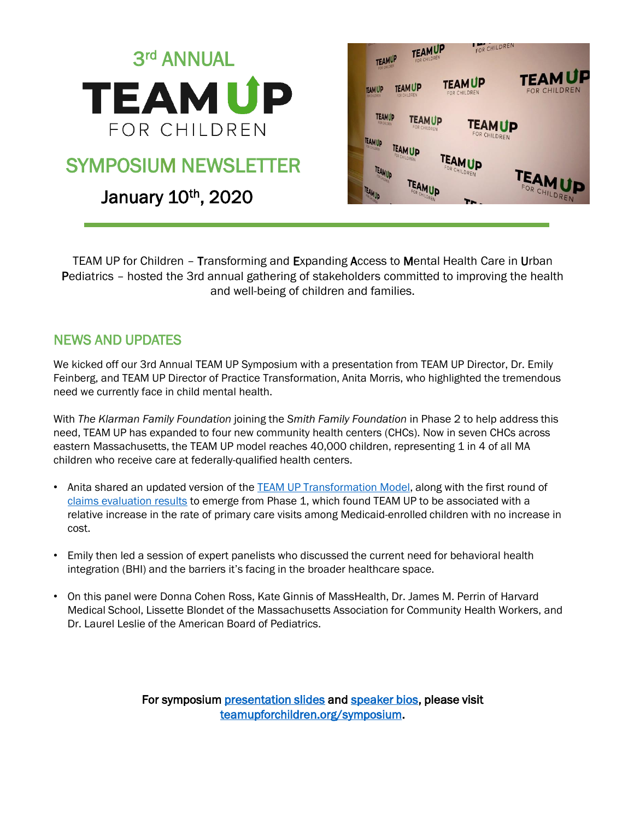

TEAM UP for Children – Transforming and Expanding Access to Mental Health Care in Urban Pediatrics – hosted the 3rd annual gathering of stakeholders committed to improving the health and well-being of children and families.

## NEWS AND UPDATES

We kicked off our 3rd Annual TEAM UP Symposium with a presentation from TEAM UP Director, Dr. Emily Feinberg, and TEAM UP Director of Practice Transformation, Anita Morris, who highlighted the tremendous need we currently face in child mental health.

With *The Klarman Family Foundation* joining the *Smith Family Foundation* in Phase 2 to help address this need, TEAM UP has expanded to four new community health centers (CHCs). Now in seven CHCs across eastern Massachusetts, the TEAM UP model reaches 40,000 children, representing 1 in 4 of all MA children who receive care at federally-qualified health centers.

- Anita shared an updated version of the [TEAM UP Transformation Model](https://app.box.com/s/ksryy1xfliyq0ctq7pew3dozy9i3dbfr), along with the first round of [claims evaluation results](https://onlinelibrary.wiley.com/doi/abs/10.1111/1475-6773.13230) to emerge from Phase 1, which found TEAM UP to be associated with a relative increase in the rate of primary care visits among Medicaid-enrolled children with no increase in cost.
- Emily then led a session of expert panelists who discussed the current need for behavioral health integration (BHI) and the barriers it's facing in the broader healthcare space.
- On this panel were Donna Cohen Ross, Kate Ginnis of MassHealth, Dr. James M. Perrin of Harvard Medical School, Lissette Blondet of the Massachusetts Association for Community Health Workers, and Dr. Laurel Leslie of the American Board of Pediatrics.

For symposium [presentation slides](https://www.teamupforchildren.org/symposium-presentations) and [speaker bios](https://www.teamupforchildren.org/symposium-presenter-bios), please visit [teamupforchildren.org/symposium](https://www.teamupforchildren.org/team-children-annual-symposium).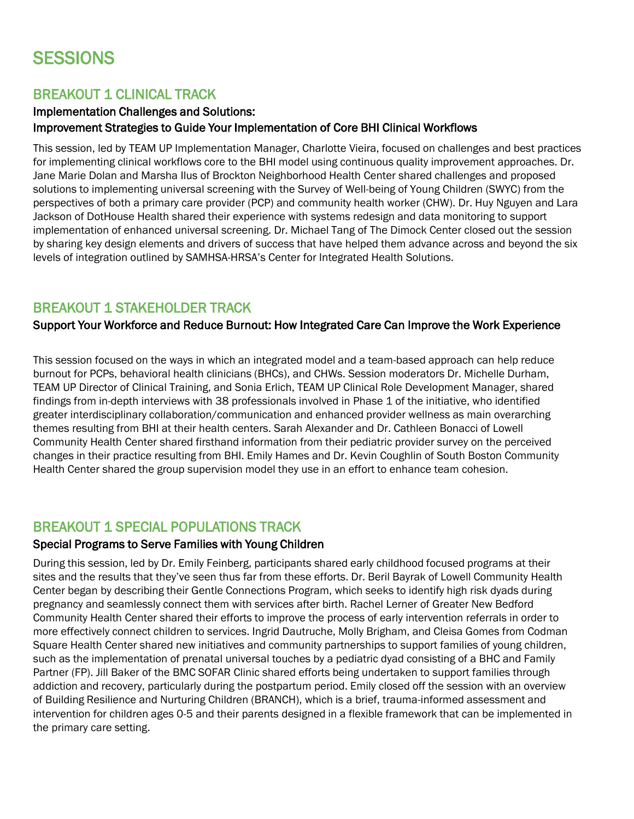# **SESSIONS**

## BREAKOUT 1 CLINICAL TRACK

#### Implementation Challenges and Solutions: Improvement Strategies to Guide Your Implementation of Core BHI Clinical Workflows

This session, led by TEAM UP Implementation Manager, Charlotte Vieira, focused on challenges and best practices for implementing clinical workflows core to the BHI model using continuous quality improvement approaches. Dr. Jane Marie Dolan and Marsha Ilus of Brockton Neighborhood Health Center shared challenges and proposed solutions to implementing universal screening with the Survey of Well-being of Young Children (SWYC) from the perspectives of both a primary care provider (PCP) and community health worker (CHW). Dr. Huy Nguyen and Lara Jackson of DotHouse Health shared their experience with systems redesign and data monitoring to support implementation of enhanced universal screening. Dr. Michael Tang of The Dimock Center closed out the session by sharing key design elements and drivers of success that have helped them advance across and beyond the six levels of integration outlined by SAMHSA-HRSA's Center for Integrated Health Solutions.

### BREAKOUT 1 STAKEHOLDER TRACK

#### Support Your Workforce and Reduce Burnout: How Integrated Care Can Improve the Work Experience

This session focused on the ways in which an integrated model and a team-based approach can help reduce burnout for PCPs, behavioral health clinicians (BHCs), and CHWs. Session moderators Dr. Michelle Durham, TEAM UP Director of Clinical Training, and Sonia Erlich, TEAM UP Clinical Role Development Manager, shared findings from in-depth interviews with 38 professionals involved in Phase 1 of the initiative, who identified greater interdisciplinary collaboration/communication and enhanced provider wellness as main overarching themes resulting from BHI at their health centers. Sarah Alexander and Dr. Cathleen Bonacci of Lowell Community Health Center shared firsthand information from their pediatric provider survey on the perceived changes in their practice resulting from BHI. Emily Hames and Dr. Kevin Coughlin of South Boston Community Health Center shared the group supervision model they use in an effort to enhance team cohesion.

## BREAKOUT 1 SPECIAL POPULATIONS TRACK

#### Special Programs to Serve Families with Young Children

During this session, led by Dr. Emily Feinberg, participants shared early childhood focused programs at their sites and the results that they've seen thus far from these efforts. Dr. Beril Bayrak of Lowell Community Health Center began by describing their Gentle Connections Program, which seeks to identify high risk dyads during pregnancy and seamlessly connect them with services after birth. Rachel Lerner of Greater New Bedford Community Health Center shared their efforts to improve the process of early intervention referrals in order to more effectively connect children to services. Ingrid Dautruche, Molly Brigham, and Cleisa Gomes from Codman Square Health Center shared new initiatives and community partnerships to support families of young children, such as the implementation of prenatal universal touches by a pediatric dyad consisting of a BHC and Family Partner (FP). Jill Baker of the BMC SOFAR Clinic shared efforts being undertaken to support families through addiction and recovery, particularly during the postpartum period. Emily closed off the session with an overview of Building Resilience and Nurturing Children (BRANCH), which is a brief, trauma-informed assessment and intervention for children ages 0-5 and their parents designed in a flexible framework that can be implemented in the primary care setting.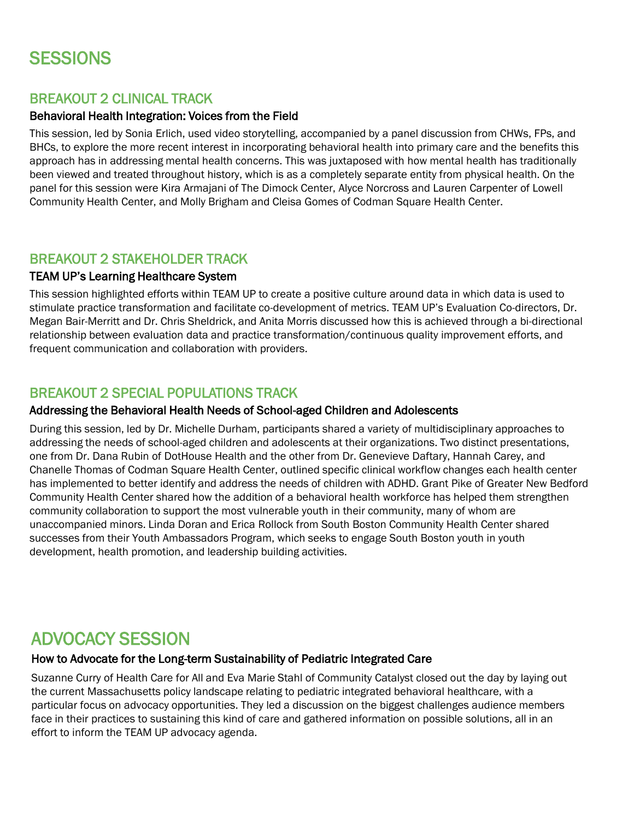# **SESSIONS**

## BREAKOUT 2 CLINICAL TRACK

#### Behavioral Health Integration: Voices from the Field

This session, led by Sonia Erlich, used video storytelling, accompanied by a panel discussion from CHWs, FPs, and BHCs, to explore the more recent interest in incorporating behavioral health into primary care and the benefits this approach has in addressing mental health concerns. This was juxtaposed with how mental health has traditionally been viewed and treated throughout history, which is as a completely separate entity from physical health. On the panel for this session were Kira Armajani of The Dimock Center, Alyce Norcross and Lauren Carpenter of Lowell Community Health Center, and Molly Brigham and Cleisa Gomes of Codman Square Health Center.

## BREAKOUT 2 STAKEHOLDER TRACK

#### TEAM UP's Learning Healthcare System

This session highlighted efforts within TEAM UP to create a positive culture around data in which data is used to stimulate practice transformation and facilitate co-development of metrics. TEAM UP's Evaluation Co-directors, Dr. Megan Bair-Merritt and Dr. Chris Sheldrick, and Anita Morris discussed how this is achieved through a bi-directional relationship between evaluation data and practice transformation/continuous quality improvement efforts, and frequent communication and collaboration with providers.

## BREAKOUT 2 SPECIAL POPULATIONS TRACK

#### Addressing the Behavioral Health Needs of School-aged Children and Adolescents

During this session, led by Dr. Michelle Durham, participants shared a variety of multidisciplinary approaches to addressing the needs of school-aged children and adolescents at their organizations. Two distinct presentations, one from Dr. Dana Rubin of DotHouse Health and the other from Dr. Genevieve Daftary, Hannah Carey, and Chanelle Thomas of Codman Square Health Center, outlined specific clinical workflow changes each health center has implemented to better identify and address the needs of children with ADHD. Grant Pike of Greater New Bedford Community Health Center shared how the addition of a behavioral health workforce has helped them strengthen community collaboration to support the most vulnerable youth in their community, many of whom are unaccompanied minors. Linda Doran and Erica Rollock from South Boston Community Health Center shared successes from their Youth Ambassadors Program, which seeks to engage South Boston youth in youth development, health promotion, and leadership building activities.

## ADVOCACY SESSION

#### How to Advocate for the Long-term Sustainability of Pediatric Integrated Care

Suzanne Curry of Health Care for All and Eva Marie Stahl of Community Catalyst closed out the day by laying out the current Massachusetts policy landscape relating to pediatric integrated behavioral healthcare, with a particular focus on advocacy opportunities. They led a discussion on the biggest challenges audience members face in their practices to sustaining this kind of care and gathered information on possible solutions, all in an effort to inform the TEAM UP advocacy agenda.